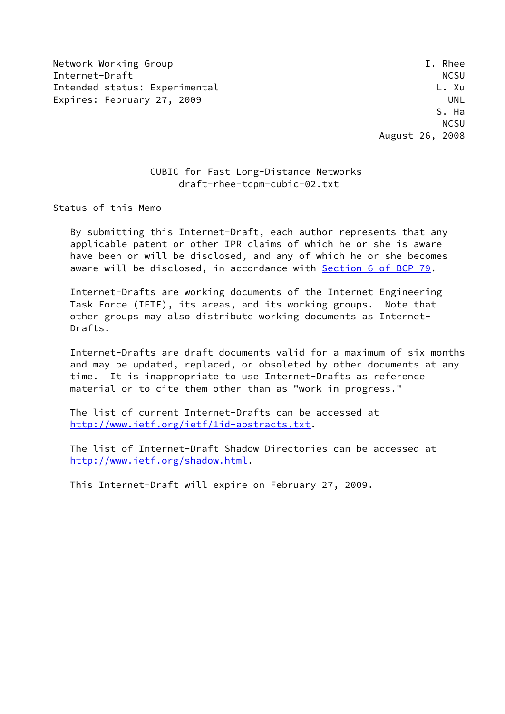Network Working Group **I. Rhee** Internet-Draft NCSU Intended status: Experimental L. Communications and L. Xu Expires: February 27, 2009 UNL

# CUBIC for Fast Long-Distance Networks draft-rhee-tcpm-cubic-02.txt

Status of this Memo

 By submitting this Internet-Draft, each author represents that any applicable patent or other IPR claims of which he or she is aware have been or will be disclosed, and any of which he or she becomes aware will be disclosed, in accordance with Section [6 of BCP 79.](https://datatracker.ietf.org/doc/pdf/bcp79#section-6)

 Internet-Drafts are working documents of the Internet Engineering Task Force (IETF), its areas, and its working groups. Note that other groups may also distribute working documents as Internet- Drafts.

 Internet-Drafts are draft documents valid for a maximum of six months and may be updated, replaced, or obsoleted by other documents at any time. It is inappropriate to use Internet-Drafts as reference material or to cite them other than as "work in progress."

 The list of current Internet-Drafts can be accessed at <http://www.ietf.org/ietf/1id-abstracts.txt>.

 The list of Internet-Draft Shadow Directories can be accessed at <http://www.ietf.org/shadow.html>.

This Internet-Draft will expire on February 27, 2009.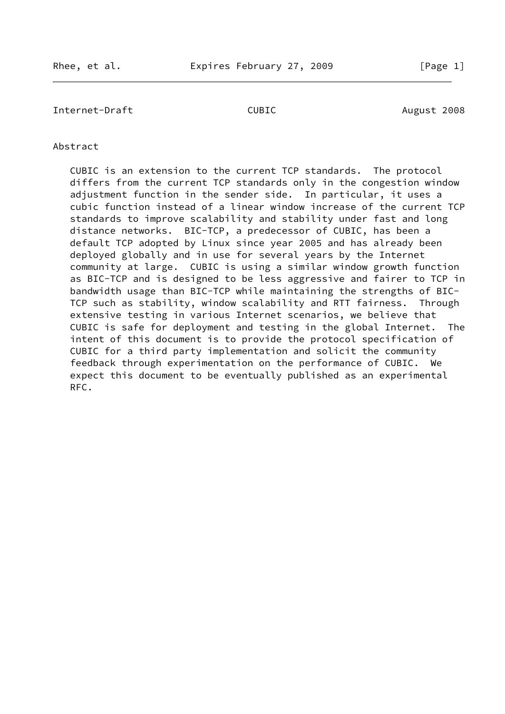Internet-Draft CUBIC CUBIC August 2008

## Abstract

 CUBIC is an extension to the current TCP standards. The protocol differs from the current TCP standards only in the congestion window adjustment function in the sender side. In particular, it uses a cubic function instead of a linear window increase of the current TCP standards to improve scalability and stability under fast and long distance networks. BIC-TCP, a predecessor of CUBIC, has been a default TCP adopted by Linux since year 2005 and has already been deployed globally and in use for several years by the Internet community at large. CUBIC is using a similar window growth function as BIC-TCP and is designed to be less aggressive and fairer to TCP in bandwidth usage than BIC-TCP while maintaining the strengths of BIC- TCP such as stability, window scalability and RTT fairness. Through extensive testing in various Internet scenarios, we believe that CUBIC is safe for deployment and testing in the global Internet. The intent of this document is to provide the protocol specification of CUBIC for a third party implementation and solicit the community feedback through experimentation on the performance of CUBIC. We expect this document to be eventually published as an experimental RFC.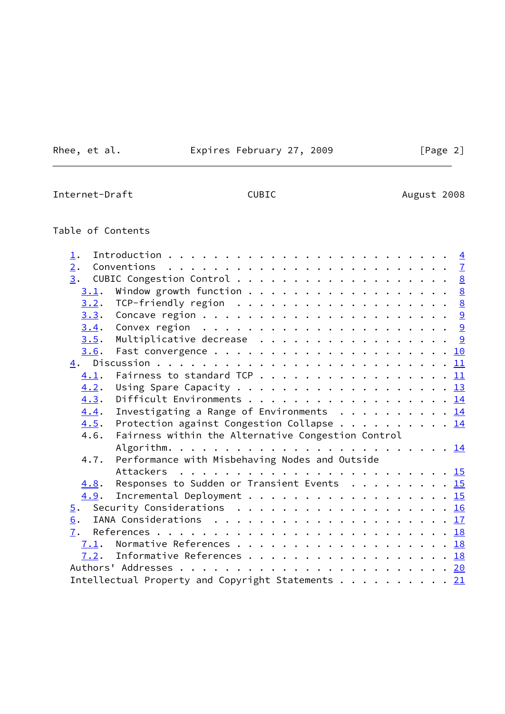Rhee, et al. **Expires February 27, 2009** [Page 2]

Internet-Draft CUBIC CONNECTED August 2008

# Table of Contents

| $\perp$ .                                                                |  |
|--------------------------------------------------------------------------|--|
| 2.                                                                       |  |
| 3.                                                                       |  |
| Window growth function 8<br>3.1.                                         |  |
| 3.2.                                                                     |  |
| 3.3.                                                                     |  |
| Convex region $\ldots \ldots \ldots \ldots \ldots \ldots \ldots$<br>3.4. |  |
| Multiplicative decrease 9<br>3.5.                                        |  |
| 3.6.                                                                     |  |
|                                                                          |  |
| Fairness to standard TCP 11<br>4.1.                                      |  |
| 4.2.                                                                     |  |
| Difficult Environments 14<br>4.3.                                        |  |
| Investigating a Range of Environments 14<br>4.4.                         |  |
| Protection against Congestion Collapse 14<br>4.5.                        |  |
| Fairness within the Alternative Congestion Control<br>4.6.               |  |
|                                                                          |  |
| Performance with Misbehaving Nodes and Outside<br>4.7.                   |  |
| Attackers                                                                |  |
| Responses to Sudden or Transient Events 15<br>4.8.                       |  |
| Incremental Deployment 15<br>4.9.                                        |  |
| 5.                                                                       |  |
| 6.                                                                       |  |
| 7.                                                                       |  |
| Normative References 18<br>7.1.                                          |  |
| Informative References 18<br>7.2.                                        |  |
|                                                                          |  |
| Intellectual Property and Copyright Statements 21                        |  |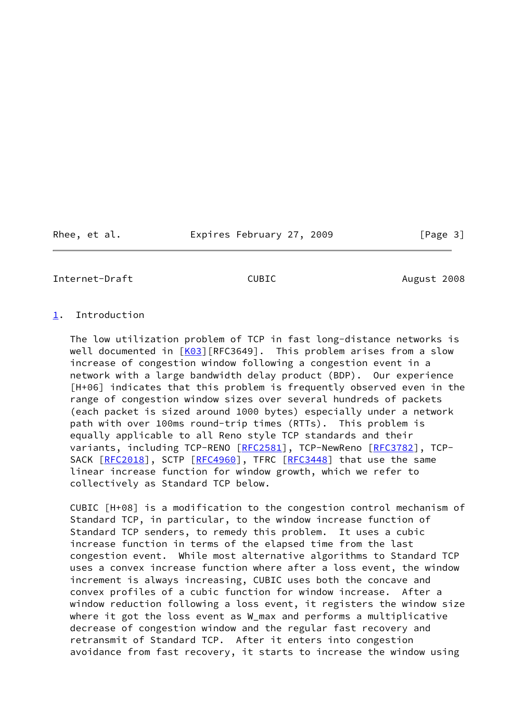Rhee, et al. **Expires February 27, 2009** [Page 3]

<span id="page-3-1"></span>Internet-Draft CUBIC August 2008

#### <span id="page-3-0"></span>[1](#page-3-0). Introduction

 The low utilization problem of TCP in fast long-distance networks is well documented in [[K03\]](#page-20-0)[RFC3649]. This problem arises from a slow increase of congestion window following a congestion event in a network with a large bandwidth delay product (BDP). Our experience [H+06] indicates that this problem is frequently observed even in the range of congestion window sizes over several hundreds of packets (each packet is sized around 1000 bytes) especially under a network path with over 100ms round-trip times (RTTs). This problem is equally applicable to all Reno style TCP standards and their variants, including TCP-RENO [\[RFC2581](https://datatracker.ietf.org/doc/pdf/rfc2581)], TCP-NewReno [\[RFC3782](https://datatracker.ietf.org/doc/pdf/rfc3782)], TCP-SACK [\[RFC2018](https://datatracker.ietf.org/doc/pdf/rfc2018)], SCTP [\[RFC4960](https://datatracker.ietf.org/doc/pdf/rfc4960)], TFRC [\[RFC3448](https://datatracker.ietf.org/doc/pdf/rfc3448)] that use the same linear increase function for window growth, which we refer to collectively as Standard TCP below.

 CUBIC [H+08] is a modification to the congestion control mechanism of Standard TCP, in particular, to the window increase function of Standard TCP senders, to remedy this problem. It uses a cubic increase function in terms of the elapsed time from the last congestion event. While most alternative algorithms to Standard TCP uses a convex increase function where after a loss event, the window increment is always increasing, CUBIC uses both the concave and convex profiles of a cubic function for window increase. After a window reduction following a loss event, it registers the window size where it got the loss event as W\_max and performs a multiplicative decrease of congestion window and the regular fast recovery and retransmit of Standard TCP. After it enters into congestion avoidance from fast recovery, it starts to increase the window using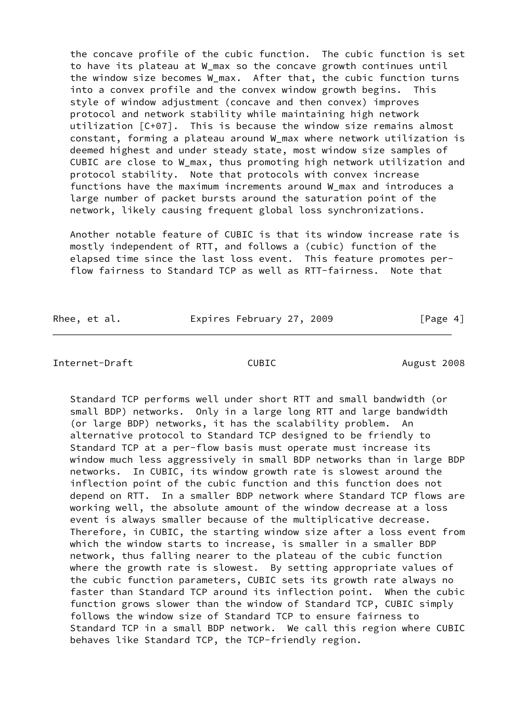the concave profile of the cubic function. The cubic function is set to have its plateau at W\_max so the concave growth continues until the window size becomes W max. After that, the cubic function turns into a convex profile and the convex window growth begins. This style of window adjustment (concave and then convex) improves protocol and network stability while maintaining high network utilization [C+07]. This is because the window size remains almost constant, forming a plateau around W\_max where network utilization is deemed highest and under steady state, most window size samples of CUBIC are close to W\_max, thus promoting high network utilization and protocol stability. Note that protocols with convex increase functions have the maximum increments around W\_max and introduces a large number of packet bursts around the saturation point of the network, likely causing frequent global loss synchronizations.

 Another notable feature of CUBIC is that its window increase rate is mostly independent of RTT, and follows a (cubic) function of the elapsed time since the last loss event. This feature promotes per flow fairness to Standard TCP as well as RTT-fairness. Note that

Rhee, et al. **Expires February 27, 2009** [Page 4]

#### Internet-Draft CUBIC CONNECTED August 2008

 Standard TCP performs well under short RTT and small bandwidth (or small BDP) networks. Only in a large long RTT and large bandwidth (or large BDP) networks, it has the scalability problem. An alternative protocol to Standard TCP designed to be friendly to Standard TCP at a per-flow basis must operate must increase its window much less aggressively in small BDP networks than in large BDP networks. In CUBIC, its window growth rate is slowest around the inflection point of the cubic function and this function does not depend on RTT. In a smaller BDP network where Standard TCP flows are working well, the absolute amount of the window decrease at a loss event is always smaller because of the multiplicative decrease. Therefore, in CUBIC, the starting window size after a loss event from which the window starts to increase, is smaller in a smaller BDP network, thus falling nearer to the plateau of the cubic function where the growth rate is slowest. By setting appropriate values of the cubic function parameters, CUBIC sets its growth rate always no faster than Standard TCP around its inflection point. When the cubic function grows slower than the window of Standard TCP, CUBIC simply follows the window size of Standard TCP to ensure fairness to Standard TCP in a small BDP network. We call this region where CUBIC behaves like Standard TCP, the TCP-friendly region.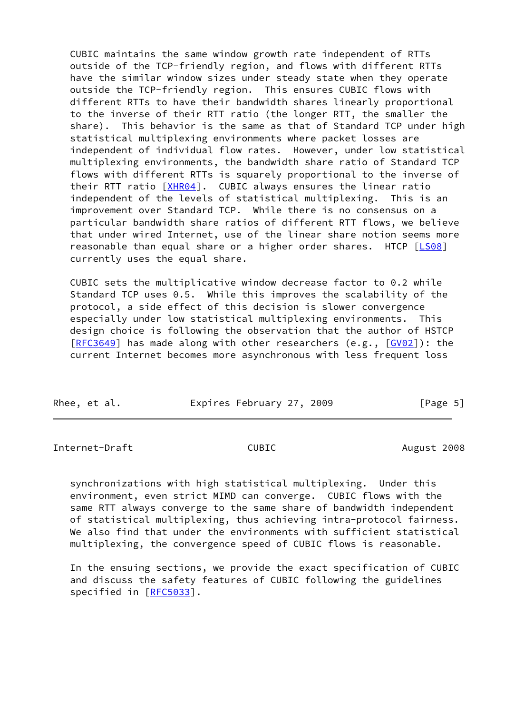CUBIC maintains the same window growth rate independent of RTTs outside of the TCP-friendly region, and flows with different RTTs have the similar window sizes under steady state when they operate outside the TCP-friendly region. This ensures CUBIC flows with different RTTs to have their bandwidth shares linearly proportional to the inverse of their RTT ratio (the longer RTT, the smaller the share). This behavior is the same as that of Standard TCP under high statistical multiplexing environments where packet losses are independent of individual flow rates. However, under low statistical multiplexing environments, the bandwidth share ratio of Standard TCP flows with different RTTs is squarely proportional to the inverse of their RTT ratio [\[XHR04](#page-20-1)]. CUBIC always ensures the linear ratio independent of the levels of statistical multiplexing. This is an improvement over Standard TCP. While there is no consensus on a particular bandwidth share ratios of different RTT flows, we believe that under wired Internet, use of the linear share notion seems more reasonable than equal share or a higher order shares. HTCP [\[LS08](#page-20-2)] currently uses the equal share.

 CUBIC sets the multiplicative window decrease factor to 0.2 while Standard TCP uses 0.5. While this improves the scalability of the protocol, a side effect of this decision is slower convergence especially under low statistical multiplexing environments. This design choice is following the observation that the author of HSTCP [\[RFC3649](https://datatracker.ietf.org/doc/pdf/rfc3649)] has made along with other researchers (e.g., [\[GV02](#page-20-3)]): the current Internet becomes more asynchronous with less frequent loss

| Rhee, et al. | Expires February 27, 2009 | [Page 5] |
|--------------|---------------------------|----------|
|              |                           |          |

Internet-Draft CUBIC CUBIC August 2008

 synchronizations with high statistical multiplexing. Under this environment, even strict MIMD can converge. CUBIC flows with the same RTT always converge to the same share of bandwidth independent of statistical multiplexing, thus achieving intra-protocol fairness. We also find that under the environments with sufficient statistical multiplexing, the convergence speed of CUBIC flows is reasonable.

 In the ensuing sections, we provide the exact specification of CUBIC and discuss the safety features of CUBIC following the guidelines specified in [\[RFC5033](https://datatracker.ietf.org/doc/pdf/rfc5033)].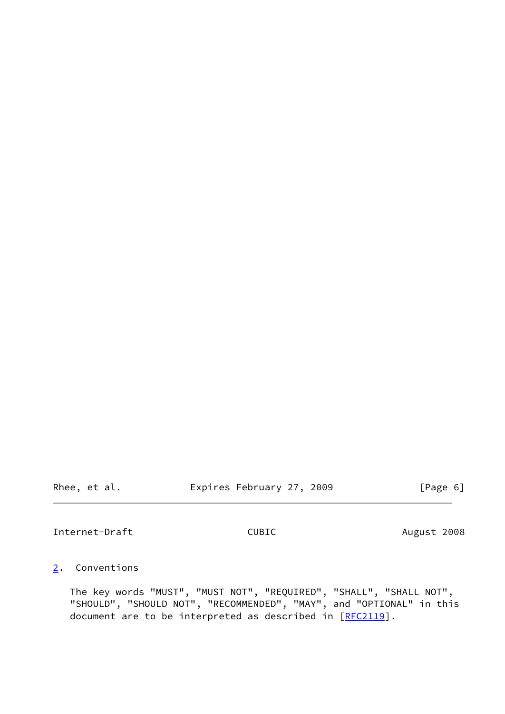Rhee, et al. **Expires February 27, 2009** [Page 6]

<span id="page-6-1"></span>Internet-Draft CUBIC CUBIC August 2008

# <span id="page-6-0"></span>[2](#page-6-0). Conventions

 The key words "MUST", "MUST NOT", "REQUIRED", "SHALL", "SHALL NOT", "SHOULD", "SHOULD NOT", "RECOMMENDED", "MAY", and "OPTIONAL" in this document are to be interpreted as described in [\[RFC2119](https://datatracker.ietf.org/doc/pdf/rfc2119)].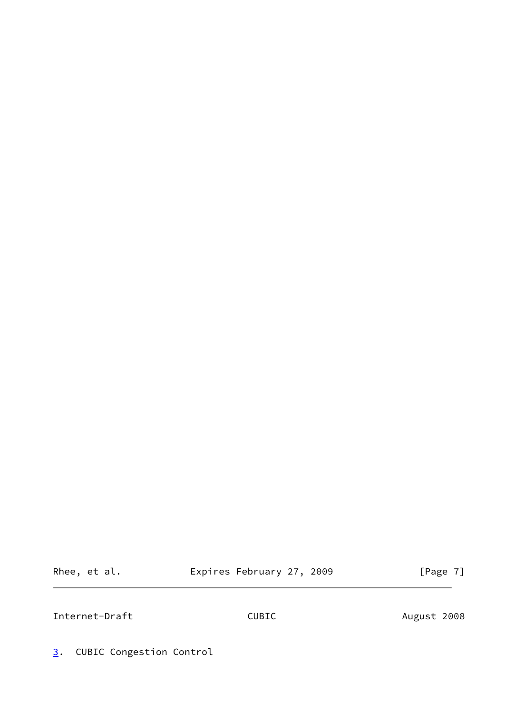Rhee, et al. Expires February 27, 2009 [Page 7]

<span id="page-7-1"></span>Internet-Draft CUBIC CONNECTED August 2008

<span id="page-7-0"></span>[3](#page-7-0). CUBIC Congestion Control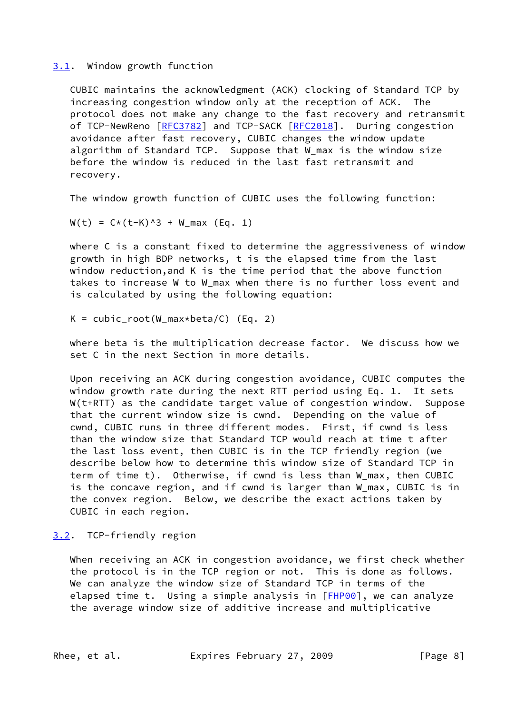# <span id="page-8-0"></span>[3.1](#page-8-0). Window growth function

 CUBIC maintains the acknowledgment (ACK) clocking of Standard TCP by increasing congestion window only at the reception of ACK. The protocol does not make any change to the fast recovery and retransmit of TCP-NewReno [\[RFC3782](https://datatracker.ietf.org/doc/pdf/rfc3782)] and TCP-SACK [[RFC2018](https://datatracker.ietf.org/doc/pdf/rfc2018)]. During congestion avoidance after fast recovery, CUBIC changes the window update algorithm of Standard TCP. Suppose that W\_max is the window size before the window is reduced in the last fast retransmit and recovery.

The window growth function of CUBIC uses the following function:

 $W(t) = C*(t-K)^3 + W_max (Eq. 1)$ 

 where C is a constant fixed to determine the aggressiveness of window growth in high BDP networks, t is the elapsed time from the last window reduction,and K is the time period that the above function takes to increase W to W max when there is no further loss event and is calculated by using the following equation:

 $K = cubicroot(W_max*beta/C)$  (Eq. 2)

 where beta is the multiplication decrease factor. We discuss how we set C in the next Section in more details.

 Upon receiving an ACK during congestion avoidance, CUBIC computes the window growth rate during the next RTT period using Eq. 1. It sets W(t+RTT) as the candidate target value of congestion window. Suppose that the current window size is cwnd. Depending on the value of cwnd, CUBIC runs in three different modes. First, if cwnd is less than the window size that Standard TCP would reach at time t after the last loss event, then CUBIC is in the TCP friendly region (we describe below how to determine this window size of Standard TCP in term of time t). Otherwise, if cwnd is less than W\_max, then CUBIC is the concave region, and if cwnd is larger than W\_max, CUBIC is in the convex region. Below, we describe the exact actions taken by CUBIC in each region.

# <span id="page-8-1"></span>[3.2](#page-8-1). TCP-friendly region

 When receiving an ACK in congestion avoidance, we first check whether the protocol is in the TCP region or not. This is done as follows. We can analyze the window size of Standard TCP in terms of the elapsed time t. Using a simple analysis in [\[FHP00](#page-20-4)], we can analyze the average window size of additive increase and multiplicative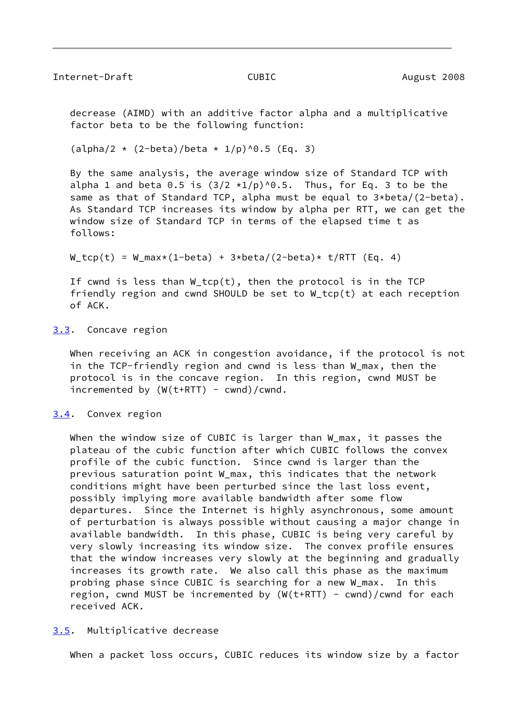<span id="page-9-1"></span> decrease (AIMD) with an additive factor alpha and a multiplicative factor beta to be the following function:

 $(\text{alpha}/2 \times (2-\text{beta})/\text{beta} \times 1/\text{p})$ <sup>0.5</sup> (Eq. 3)

 By the same analysis, the average window size of Standard TCP with alpha 1 and beta 0.5 is  $(3/2 \times 1/p)^{0.5}$ . Thus, for Eq. 3 to be the same as that of Standard TCP, alpha must be equal to 3\*beta/(2-beta). As Standard TCP increases its window by alpha per RTT, we can get the window size of Standard TCP in terms of the elapsed time t as follows:

 $W_trop(t) = W_max*(1-beta) + 3 * beta/(2-beta) * t/RTT$  (Eq. 4)

If cwnd is less than  $W_t$ tcp(t), then the protocol is in the TCP friendly region and cwnd SHOULD be set to W\_tcp(t) at each reception of ACK.

#### <span id="page-9-0"></span>[3.3](#page-9-0). Concave region

 When receiving an ACK in congestion avoidance, if the protocol is not in the TCP-friendly region and cwnd is less than W\_max, then the protocol is in the concave region. In this region, cwnd MUST be incremented by  $(W(t+RTT) - cwnd)/cwnd$ .

#### <span id="page-9-2"></span>[3.4](#page-9-2). Convex region

When the window size of CUBIC is larger than W\_max, it passes the plateau of the cubic function after which CUBIC follows the convex profile of the cubic function. Since cwnd is larger than the previous saturation point W\_max, this indicates that the network conditions might have been perturbed since the last loss event, possibly implying more available bandwidth after some flow departures. Since the Internet is highly asynchronous, some amount of perturbation is always possible without causing a major change in available bandwidth. In this phase, CUBIC is being very careful by very slowly increasing its window size. The convex profile ensures that the window increases very slowly at the beginning and gradually increases its growth rate. We also call this phase as the maximum probing phase since CUBIC is searching for a new W max. In this region, cwnd MUST be incremented by  $(W(t+RTT) - cwnd)/cwnd$  for each received ACK.

<span id="page-9-3"></span>[3.5](#page-9-3). Multiplicative decrease

When a packet loss occurs, CUBIC reduces its window size by a factor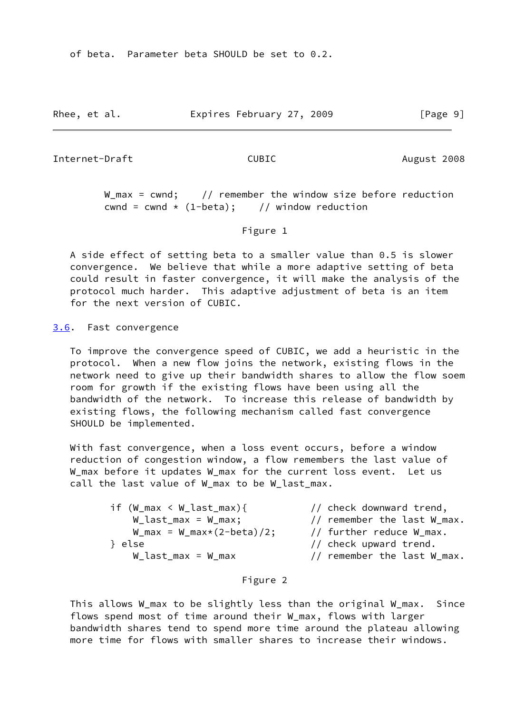of beta. Parameter beta SHOULD be set to 0.2.

Rhee, et al. Expires February 27, 2009 [Page 9]

<span id="page-10-1"></span>Internet-Draft CUBIC CUBIC August 2008

 $W_m$ max = cwnd; // remember the window size before reduction cwnd = cwnd  $\star$  (1-beta); // window reduction

#### Figure 1

 A side effect of setting beta to a smaller value than 0.5 is slower convergence. We believe that while a more adaptive setting of beta could result in faster convergence, it will make the analysis of the protocol much harder. This adaptive adjustment of beta is an item for the next version of CUBIC.

<span id="page-10-0"></span>[3.6](#page-10-0). Fast convergence

 To improve the convergence speed of CUBIC, we add a heuristic in the protocol. When a new flow joins the network, existing flows in the network need to give up their bandwidth shares to allow the flow soem room for growth if the existing flows have been using all the bandwidth of the network. To increase this release of bandwidth by existing flows, the following mechanism called fast convergence SHOULD be implemented.

 With fast convergence, when a loss event occurs, before a window reduction of congestion window, a flow remembers the last value of W\_max before it updates W\_max for the current loss event. Let us call the last value of W\_max to be W\_last\_max.

 if (W\_max < W\_last\_max){ // check downward trend, W\_last\_max = W\_max; // remember the last W\_max.  $W_{max} = W_{max} \times (2 - \text{beta}) / 2;$  // further reduce  $W_{max}$ . } else // check upward trend.  $W_{\text{last} \text{max}} = W_{\text{max}}$  // remember the last W\_max.

#### Figure 2

 This allows W\_max to be slightly less than the original W\_max. Since flows spend most of time around their W\_max, flows with larger bandwidth shares tend to spend more time around the plateau allowing more time for flows with smaller shares to increase their windows.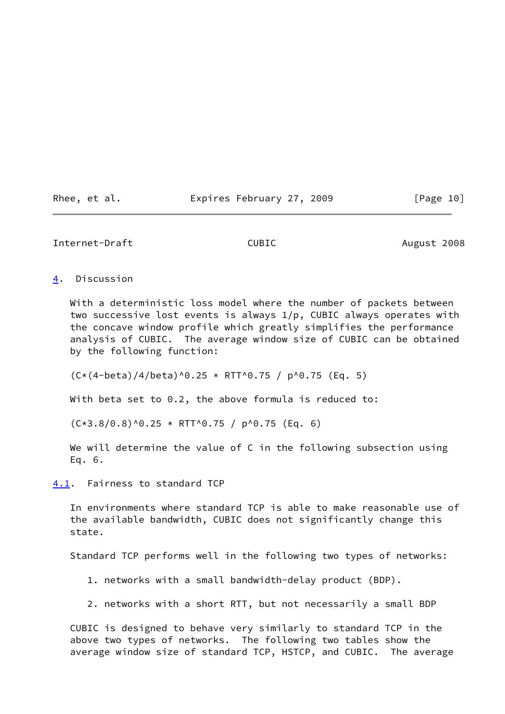Rhee, et al. Expires February 27, 2009 [Page 10]

## <span id="page-11-1"></span>Internet-Draft CUBIC CUBIC August 2008

## <span id="page-11-0"></span>[4](#page-11-0). Discussion

 With a deterministic loss model where the number of packets between two successive lost events is always 1/p, CUBIC always operates with the concave window profile which greatly simplifies the performance analysis of CUBIC. The average window size of CUBIC can be obtained by the following function:

 $(C*(4-beta)/4/beta)^0.25 * RTT^0.75 / p^0.75 (Eq. 5)$ 

With beta set to 0.2, the above formula is reduced to:

 $(C*3.8/0.8)^{0.25}$  \* RTT^0.75 / p^0.75 (Eq. 6)

We will determine the value of C in the following subsection using Eq. 6.

<span id="page-11-2"></span>[4.1](#page-11-2). Fairness to standard TCP

 In environments where standard TCP is able to make reasonable use of the available bandwidth, CUBIC does not significantly change this state.

Standard TCP performs well in the following two types of networks:

- 1. networks with a small bandwidth-delay product (BDP).
- 2. networks with a short RTT, but not necessarily a small BDP

 CUBIC is designed to behave very similarly to standard TCP in the above two types of networks. The following two tables show the average window size of standard TCP, HSTCP, and CUBIC. The average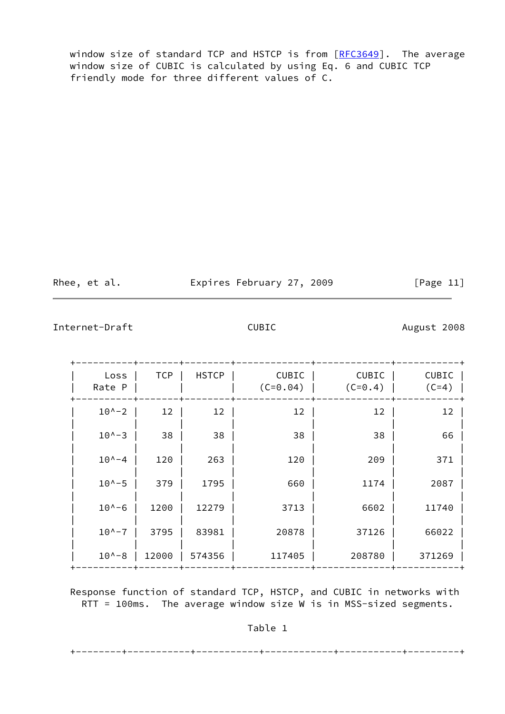window size of standard TCP and HSTCP is from [[RFC3649](https://datatracker.ietf.org/doc/pdf/rfc3649)]. The average window size of CUBIC is calculated by using Eq. 6 and CUBIC TCP friendly mode for three different values of C.

Rhee, et al. **Expires February 27, 2009** [Page 11]

Internet-Draft CUBIC CUBIC August 2008

| Loss<br>Rate P   | <b>TCP</b> | <b>HSTCP</b> | <b>CUBIC</b><br>$(C=0.04)$ | <b>CUBIC</b><br>$(C=0.4)$ | <b>CUBIC</b><br>$(C=4)$ |
|------------------|------------|--------------|----------------------------|---------------------------|-------------------------|
| $10^{\circ} - 2$ | 12         | 12           | 12                         | 12                        | 12                      |
| $10^{\circ} - 3$ | 38         | 38           | 38                         | 38                        | 66                      |
| $10^{\circ} - 4$ | 120        | 263          | 120                        | 209                       | 371                     |
| $10^{\circ} - 5$ | 379        | 1795         | 660                        | 1174                      | 2087                    |
| $10^{\circ} - 6$ | 1200       | 12279        | 3713                       | 6602                      | 11740                   |
| $10^{\circ} - 7$ | 3795       | 83981        | 20878                      | 37126                     | 66022                   |
| $10^{\circ} - 8$ | 12000      | 574356       | 117405                     | 208780                    | 371269                  |

 Response function of standard TCP, HSTCP, and CUBIC in networks with RTT = 100ms. The average window size W is in MSS-sized segments.

Table 1

+--------+-----------+-----------+------------+-----------+---------+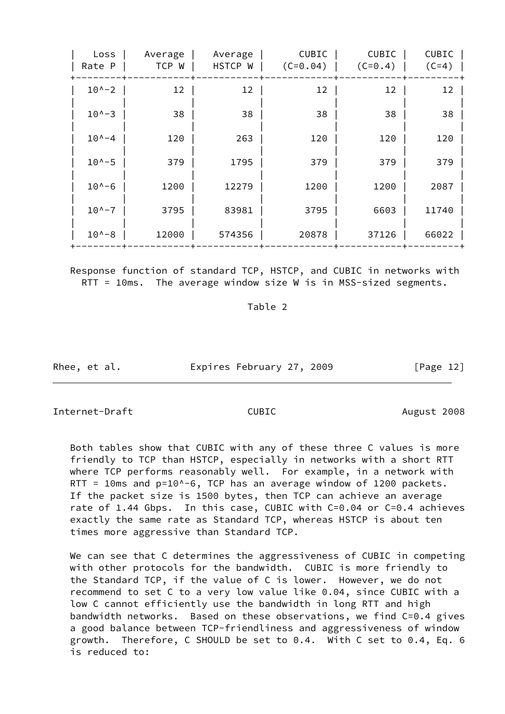| Loss<br>Rate P   | Average<br>TCP W | Average<br>HSTCP W | CUBIC<br>$(C=0.04)$ | CUBIC<br>$(C=0.4)$ | <b>CUBIC</b><br>$(C=4)$ |
|------------------|------------------|--------------------|---------------------|--------------------|-------------------------|
| $10^{\circ} - 2$ | 12               | 12                 | 12                  | 12                 | 12                      |
| $10^{\circ} - 3$ | 38               | 38                 | 38                  | 38                 | 38                      |
| $10^{\circ -4}$  | 120              | 263                | 120                 | 120                | 120                     |
| $10^{\circ} - 5$ | 379              | 1795               | 379                 | 379                | 379                     |
| $10^{\circ} - 6$ | 1200             | 12279              | 1200                | 1200               | 2087                    |
| $10^{\circ} - 7$ | 3795             | 83981              | 3795                | 6603               | 11740                   |
| $10^{\circ} - 8$ | 12000            | 574356             | 20878               | 37126              | 66022                   |

 Response function of standard TCP, HSTCP, and CUBIC in networks with RTT = 10ms. The average window size W is in MSS-sized segments.

Table 2

Rhee, et al. **Expires February 27, 2009** [Page 12]

<span id="page-13-0"></span>Internet-Draft CUBIC CUBIC August 2008

 Both tables show that CUBIC with any of these three C values is more friendly to TCP than HSTCP, especially in networks with a short RTT where TCP performs reasonably well. For example, in a network with RTT = 10ms and p=10^-6, TCP has an average window of 1200 packets. If the packet size is 1500 bytes, then TCP can achieve an average rate of 1.44 Gbps. In this case, CUBIC with C=0.04 or C=0.4 achieves exactly the same rate as Standard TCP, whereas HSTCP is about ten times more aggressive than Standard TCP.

 We can see that C determines the aggressiveness of CUBIC in competing with other protocols for the bandwidth. CUBIC is more friendly to the Standard TCP, if the value of C is lower. However, we do not recommend to set C to a very low value like 0.04, since CUBIC with a low C cannot efficiently use the bandwidth in long RTT and high bandwidth networks. Based on these observations, we find C=0.4 gives a good balance between TCP-friendliness and aggressiveness of window growth. Therefore, C SHOULD be set to 0.4. With C set to 0.4, Eq. 6 is reduced to: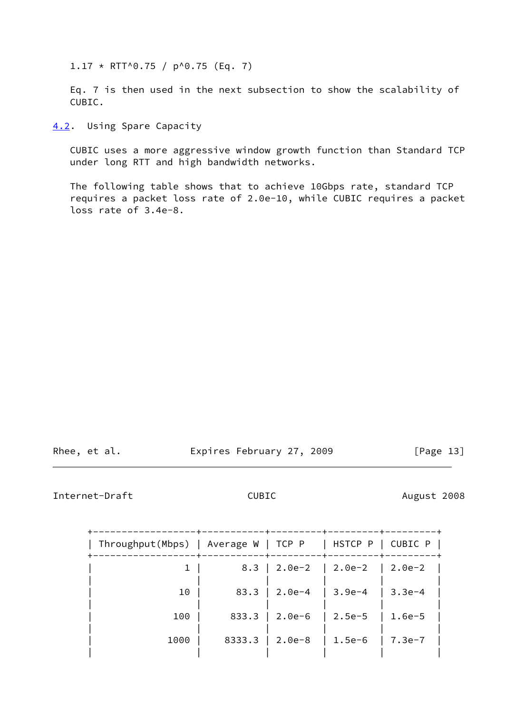$1.17 * RTT^0.75 / p^0.75 (Eq. 7)$ 

 Eq. 7 is then used in the next subsection to show the scalability of CUBIC.

<span id="page-14-0"></span>[4.2](#page-14-0). Using Spare Capacity

 CUBIC uses a more aggressive window growth function than Standard TCP under long RTT and high bandwidth networks.

 The following table shows that to achieve 10Gbps rate, standard TCP requires a packet loss rate of 2.0e-10, while CUBIC requires a packet loss rate of 3.4e-8.

Rhee, et al. **Expires February 27, 2009** [Page 13]

<span id="page-14-1"></span>Internet-Draft CUBIC CUBIC August 2008

| ------+-<br>8.3 |                 | -------+---------+---------+------ |            |
|-----------------|-----------------|------------------------------------|------------|
|                 | 2.0e-2   2.0e-2 |                                    | $ 2.0e-2 $ |
| 83.3            |                 |                                    | $3.3e-4$   |
| 833.3           | $2.0e-6$        | $2.5e-5$                           | $1.6e-5$   |
| 8333.3          | 2.0e-8          | $1.5e-6$                           | $7.3e-7$   |
|                 |                 | $2.0e-4$                           | $ 3.9e-4$  |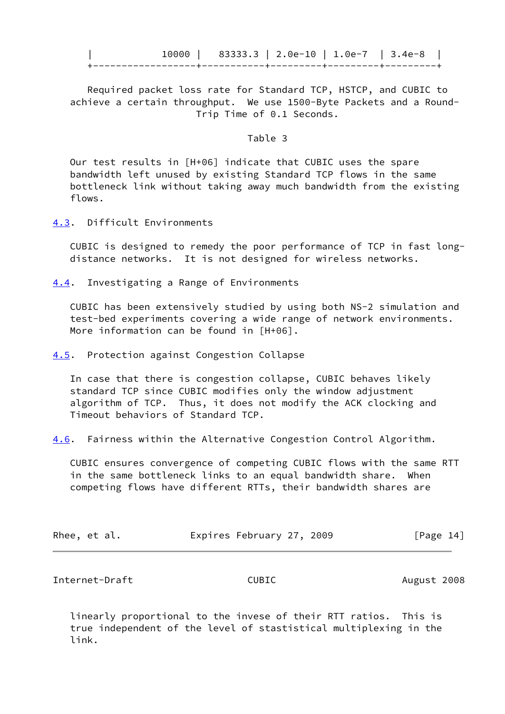|  | 83333.3   2.0e-10   1.0e-7   3.4e-8 |  |  |
|--|-------------------------------------|--|--|
|  |                                     |  |  |

 Required packet loss rate for Standard TCP, HSTCP, and CUBIC to achieve a certain throughput. We use 1500-Byte Packets and a Round- Trip Time of 0.1 Seconds.

#### Table 3

 Our test results in [H+06] indicate that CUBIC uses the spare bandwidth left unused by existing Standard TCP flows in the same bottleneck link without taking away much bandwidth from the existing flows.

<span id="page-15-0"></span>[4.3](#page-15-0). Difficult Environments

 CUBIC is designed to remedy the poor performance of TCP in fast long distance networks. It is not designed for wireless networks.

<span id="page-15-1"></span>[4.4](#page-15-1). Investigating a Range of Environments

 CUBIC has been extensively studied by using both NS-2 simulation and test-bed experiments covering a wide range of network environments. More information can be found in [H+06].

<span id="page-15-2"></span>[4.5](#page-15-2). Protection against Congestion Collapse

 In case that there is congestion collapse, CUBIC behaves likely standard TCP since CUBIC modifies only the window adjustment algorithm of TCP. Thus, it does not modify the ACK clocking and Timeout behaviors of Standard TCP.

<span id="page-15-4"></span>[4.6](#page-15-4). Fairness within the Alternative Congestion Control Algorithm.

 CUBIC ensures convergence of competing CUBIC flows with the same RTT in the same bottleneck links to an equal bandwidth share. When competing flows have different RTTs, their bandwidth shares are

|  | Rhee, et al. | Expires February 27, 2009 |  |  | [Page 14] |  |
|--|--------------|---------------------------|--|--|-----------|--|
|--|--------------|---------------------------|--|--|-----------|--|

<span id="page-15-3"></span>Internet-Draft CUBIC COMPONE CONSTRUCTED August 2008

 linearly proportional to the invese of their RTT ratios. This is true independent of the level of stastistical multiplexing in the link.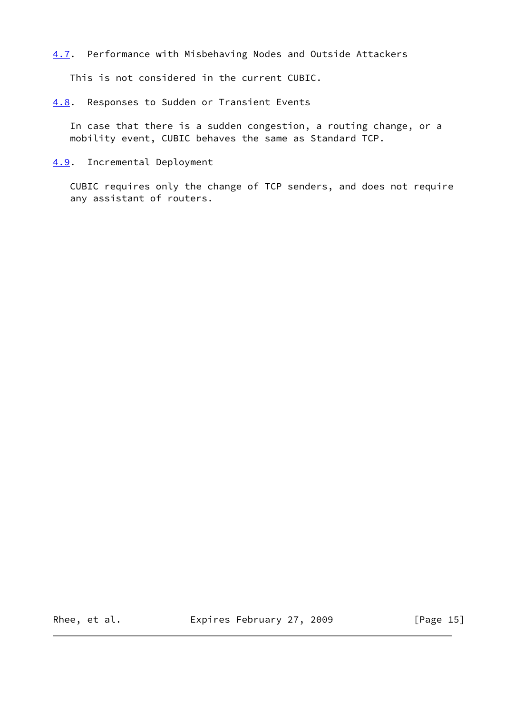<span id="page-16-2"></span>[4.7](#page-16-2). Performance with Misbehaving Nodes and Outside Attackers

This is not considered in the current CUBIC.

<span id="page-16-0"></span>[4.8](#page-16-0). Responses to Sudden or Transient Events

 In case that there is a sudden congestion, a routing change, or a mobility event, CUBIC behaves the same as Standard TCP.

# <span id="page-16-1"></span>[4.9](#page-16-1). Incremental Deployment

 CUBIC requires only the change of TCP senders, and does not require any assistant of routers.

Rhee, et al. **Expires February 27, 2009** [Page 15]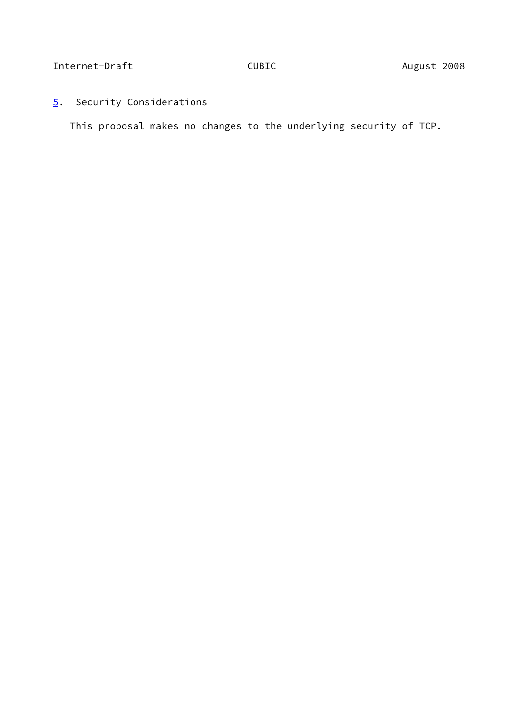# <span id="page-17-1"></span>Internet-Draft CUBIC CUBIC August 2008

<span id="page-17-0"></span>[5](#page-17-0). Security Considerations

This proposal makes no changes to the underlying security of TCP.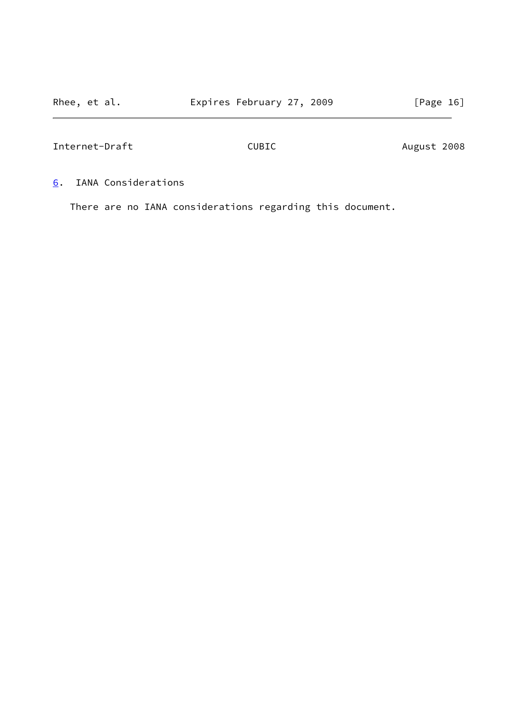<span id="page-18-1"></span>

| Internet-Draft | CUBIC | August 2008 |  |
|----------------|-------|-------------|--|
|                |       |             |  |

<span id="page-18-0"></span>[6](#page-18-0). IANA Considerations

There are no IANA considerations regarding this document.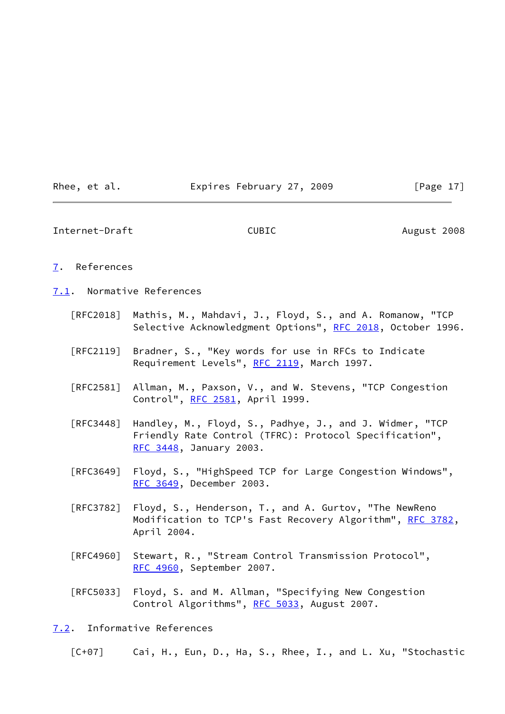| Rhee, | et al. |
|-------|--------|
|       |        |

#### Expires February 27, 2009 [Page 17]

<span id="page-19-1"></span>Internet-Draft CUBIC CUBIC August 2008

#### <span id="page-19-0"></span>[7](#page-19-0). References

<span id="page-19-2"></span>[7.1](#page-19-2). Normative References

- [RFC2018] Mathis, M., Mahdavi, J., Floyd, S., and A. Romanow, "TCP Selective Acknowledgment Options", [RFC 2018](https://datatracker.ietf.org/doc/pdf/rfc2018), October 1996.
- [RFC2119] Bradner, S., "Key words for use in RFCs to Indicate Requirement Levels", [RFC 2119](https://datatracker.ietf.org/doc/pdf/rfc2119), March 1997.
- [RFC2581] Allman, M., Paxson, V., and W. Stevens, "TCP Congestion Control", [RFC 2581](https://datatracker.ietf.org/doc/pdf/rfc2581), April 1999.
- [RFC3448] Handley, M., Floyd, S., Padhye, J., and J. Widmer, "TCP Friendly Rate Control (TFRC): Protocol Specification", [RFC 3448,](https://datatracker.ietf.org/doc/pdf/rfc3448) January 2003.
- [RFC3649] Floyd, S., "HighSpeed TCP for Large Congestion Windows", [RFC 3649,](https://datatracker.ietf.org/doc/pdf/rfc3649) December 2003.
- [RFC3782] Floyd, S., Henderson, T., and A. Gurtov, "The NewReno Modification to TCP's Fast Recovery Algorithm", [RFC 3782,](https://datatracker.ietf.org/doc/pdf/rfc3782) April 2004.
- [RFC4960] Stewart, R., "Stream Control Transmission Protocol", [RFC 4960,](https://datatracker.ietf.org/doc/pdf/rfc4960) September 2007.
- [RFC5033] Floyd, S. and M. Allman, "Specifying New Congestion Control Algorithms", [RFC 5033](https://datatracker.ietf.org/doc/pdf/rfc5033), August 2007.

#### <span id="page-19-3"></span>[7.2](#page-19-3). Informative References

[C+07] Cai, H., Eun, D., Ha, S., Rhee, I., and L. Xu, "Stochastic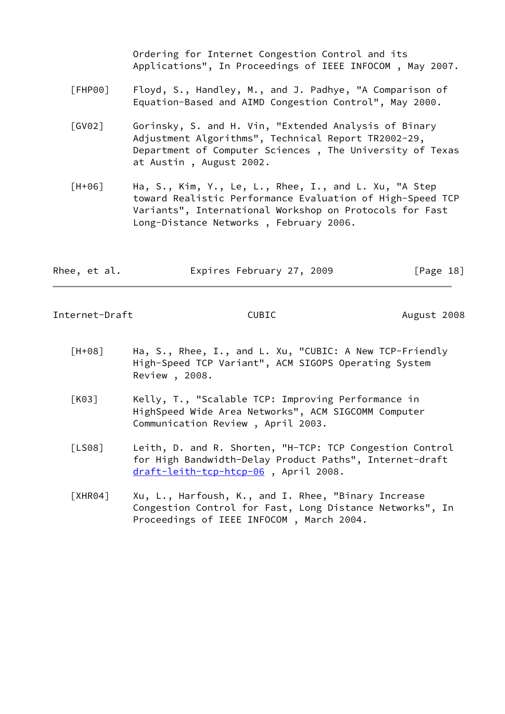Ordering for Internet Congestion Control and its Applications", In Proceedings of IEEE INFOCOM , May 2007.

- <span id="page-20-4"></span> [FHP00] Floyd, S., Handley, M., and J. Padhye, "A Comparison of Equation-Based and AIMD Congestion Control", May 2000.
- <span id="page-20-3"></span> [GV02] Gorinsky, S. and H. Vin, "Extended Analysis of Binary Adjustment Algorithms", Technical Report TR2002-29, Department of Computer Sciences , The University of Texas at Austin , August 2002.
- [H+06] Ha, S., Kim, Y., Le, L., Rhee, I., and L. Xu, "A Step toward Realistic Performance Evaluation of High-Speed TCP Variants", International Workshop on Protocols for Fast Long-Distance Networks , February 2006.

| Rhee, et al. | Expires February 27, 2009 | [Page 18] |
|--------------|---------------------------|-----------|
|              |                           |           |

Internet-Draft CUBIC CUBIC August 2008

- [H+08] Ha, S., Rhee, I., and L. Xu, "CUBIC: A New TCP-Friendly High-Speed TCP Variant", ACM SIGOPS Operating System Review , 2008.
- <span id="page-20-0"></span> [K03] Kelly, T., "Scalable TCP: Improving Performance in HighSpeed Wide Area Networks", ACM SIGCOMM Computer Communication Review , April 2003.
- <span id="page-20-2"></span> [LS08] Leith, D. and R. Shorten, "H-TCP: TCP Congestion Control for High Bandwidth-Delay Product Paths", Internet-draft [draft-leith-tcp-htcp-06](https://datatracker.ietf.org/doc/pdf/draft-leith-tcp-htcp-06) , April 2008.
- <span id="page-20-1"></span>[XHR04] Xu, L., Harfoush, K., and I. Rhee, "Binary Increase Congestion Control for Fast, Long Distance Networks", In Proceedings of IEEE INFOCOM , March 2004.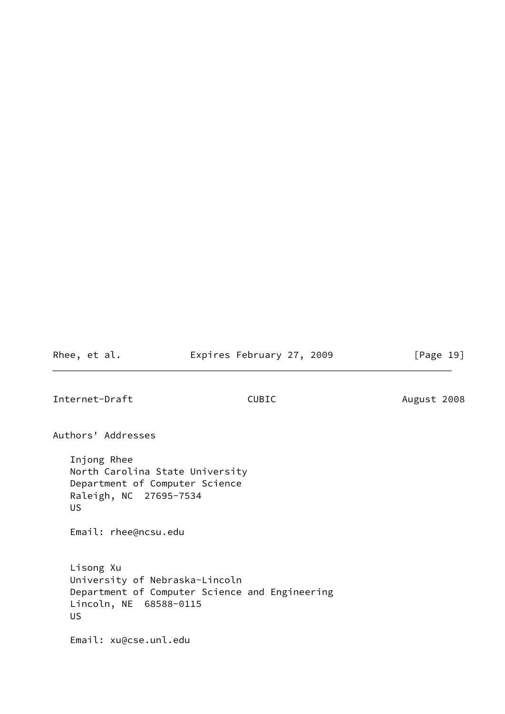Rhee, et al. **Expires February 27, 2009** [Page 19]

<span id="page-21-0"></span>Internet-Draft CUBIC CUBIC August 2008

Authors' Addresses

 Injong Rhee North Carolina State University Department of Computer Science Raleigh, NC 27695-7534 US

Email: rhee@ncsu.edu

 Lisong Xu University of Nebraska-Lincoln Department of Computer Science and Engineering Lincoln, NE 68588-0115 US

Email: xu@cse.unl.edu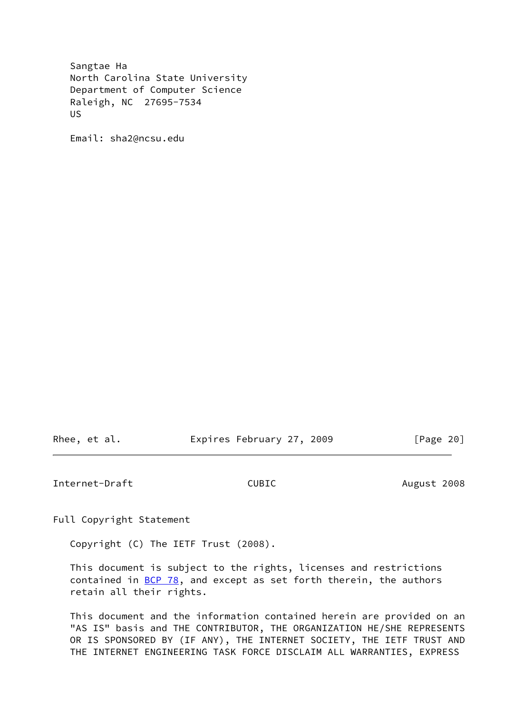Sangtae Ha North Carolina State University Department of Computer Science Raleigh, NC 27695-7534 US

Email: sha2@ncsu.edu

Rhee, et al. Expires February 27, 2009 [Page 20]

<span id="page-22-0"></span>Internet-Draft CUBIC August 2008

Full Copyright Statement

Copyright (C) The IETF Trust (2008).

 This document is subject to the rights, licenses and restrictions contained in  $\underline{BCP}$  78, and except as set forth therein, the authors retain all their rights.

 This document and the information contained herein are provided on an "AS IS" basis and THE CONTRIBUTOR, THE ORGANIZATION HE/SHE REPRESENTS OR IS SPONSORED BY (IF ANY), THE INTERNET SOCIETY, THE IETF TRUST AND THE INTERNET ENGINEERING TASK FORCE DISCLAIM ALL WARRANTIES, EXPRESS